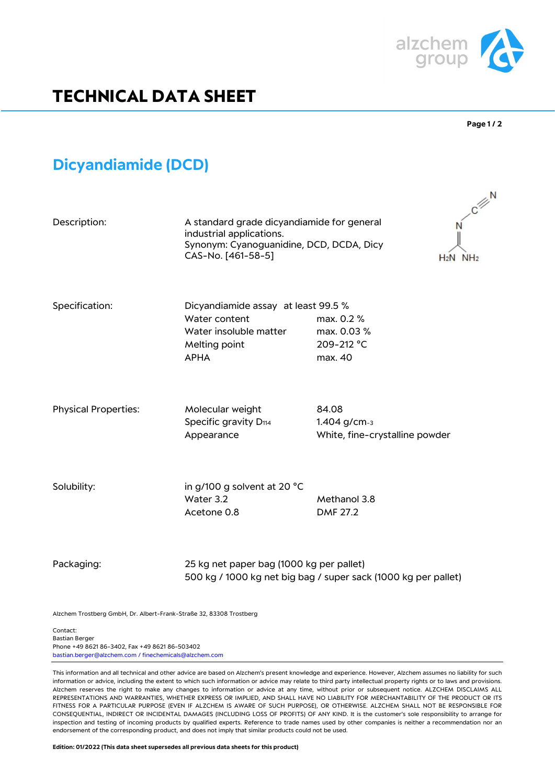

# **TECHNICAL DATA SHEET**

#### **Page 1 / 2**

## **Dicyandiamide (DCD)**

| Description:                | A standard grade dicyandiamide for general<br>industrial applications.<br>Synonym: Cyanoguanidine, DCD, DCDA, Dicy<br>CAS-No. [461-58-5] |                                                         | $C \nightharpoonup N$<br>$H_2N$ NH <sub>2</sub> |
|-----------------------------|------------------------------------------------------------------------------------------------------------------------------------------|---------------------------------------------------------|-------------------------------------------------|
| Specification:              | Dicyandiamide assay at least 99.5 %<br>Water content<br>Water insoluble matter<br>Melting point<br><b>APHA</b>                           | max. 0.2 %<br>max. 0.03 %<br>209-212 °C<br>max. 40      |                                                 |
| <b>Physical Properties:</b> | Molecular weight<br>Specific gravity D <sub>114</sub><br>Appearance                                                                      | 84.08<br>1.404 g/cm-3<br>White, fine-crystalline powder |                                                 |
| Solubility:                 | in g/100 g solvent at 20 °C<br>Water 3.2<br>Acetone 0.8                                                                                  | Methanol 3.8<br><b>DMF 27.2</b>                         |                                                 |

### Packaging: 25 kg net paper bag (1000 kg per pallet) 500 kg / 1000 kg net big bag / super sack (1000 kg per pallet)

Alzchem Trostberg GmbH, Dr. Albert-Frank-Straße 32, 83308 Trostberg

Contact: Bastian Berger Phone +49 8621 86-3402, Fax +49 8621 86-503402 bastian.berger@alzchem.com / finechemicals@alzchem.com

This information and all technical and other advice are based on Alzchem's present knowledge and experience. However, Alzchem assumes no liability for such information or advice, including the extent to which such information or advice may relate to third party intellectual property rights or to laws and provisions. Alzchem reserves the right to make any changes to information or advice at any time, without prior or subsequent notice. ALZCHEM DISCLAIMS ALL REPRESENTATIONS AND WARRANTIES, WHETHER EXPRESS OR IMPLIED, AND SHALL HAVE NO LIABILITY FOR MERCHANTABILITY OF THE PRODUCT OR ITS FITNESS FOR A PARTICULAR PURPOSE (EVEN IF ALZCHEM IS AWARE OF SUCH PURPOSE), OR OTHERWISE. ALZCHEM SHALL NOT BE RESPONSIBLE FOR CONSEQUENTIAL, INDIRECT OR INCIDENTAL DAMAGES (INCLUDING LOSS OF PROFITS) OF ANY KIND. It is the customer's sole responsibility to arrange for inspection and testing of incoming products by qualified experts. Reference to trade names used by other companies is neither a recommendation nor an endorsement of the corresponding product, and does not imply that similar products could not be used.

**Edition: 01/2022 (This data sheet supersedes all previous data sheets for this product)**